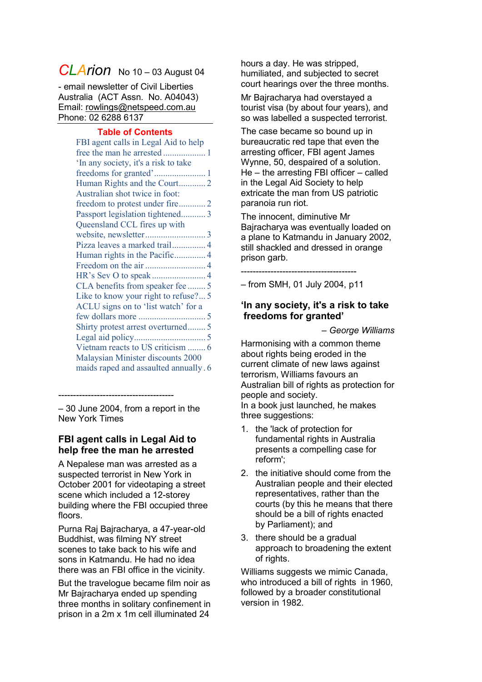# **CLArion** No 10 – 03 August 04

- email newsletter of Civil Liberties Australia (ACT Assn. No. A04043) Email: [rowlings@netspeed.com.au](mailto:rowlings@netspeed.com.au) Phone: 02 6288 6137

#### **Table of Contents**

– 30 June 2004, from a report in the New York Times

---------------------------------------

## <span id="page-0-0"></span>**FBI agent calls in Legal Aid to help free the man he arrested**

A Nepalese man was arrested as a suspected terrorist in New York in October 2001 for videotaping a street scene which included a 12-storey building where the FBI occupied three floors.

Purna Raj Bajracharya, a 47-year-old Buddhist, was filming NY street scenes to take back to his wife and sons in Katmandu. He had no idea there was an FBI office in the vicinity.

But the travelogue became film noir as Mr Bajracharya ended up spending three months in solitary confinement in prison in a 2m x 1m cell illuminated 24

hours a day. He was stripped, humiliated, and subjected to secret court hearings over the three months.

Mr Bajracharya had overstayed a tourist visa (by about four years), and so was labelled a suspected terrorist.

The case became so bound up in bureaucratic red tape that even the arresting officer, FBI agent James Wynne, 50, despaired of a solution. He – the arresting FBI officer – called in the Legal Aid Society to help extricate the man from US patriotic paranoia run riot.

The innocent, diminutive Mr Bajracharya was eventually loaded on a plane to Katmandu in January 2002, still shackled and dressed in orange prison garb.

--------------------------------------- – from SMH, 01 July 2004, p11

## <span id="page-0-1"></span>**'In any society, it's a risk to take freedoms for granted'**

*– George Williams*

Harmonising with a common theme about rights being eroded in the current climate of new laws against terrorism, Williams favours an Australian bill of rights as protection for people and society. In a book just launched, he makes three suggestions:

- 1. the 'lack of protection for fundamental rights in Australia presents a compelling case for reform';
- 2. the initiative should come from the Australian people and their elected representatives, rather than the courts (by this he means that there should be a bill of rights enacted by Parliament); and
- 3. there should be a gradual approach to broadening the extent of rights.

Williams suggests we mimic Canada, who introduced a bill of rights in 1960, followed by a broader constitutional version in 1982.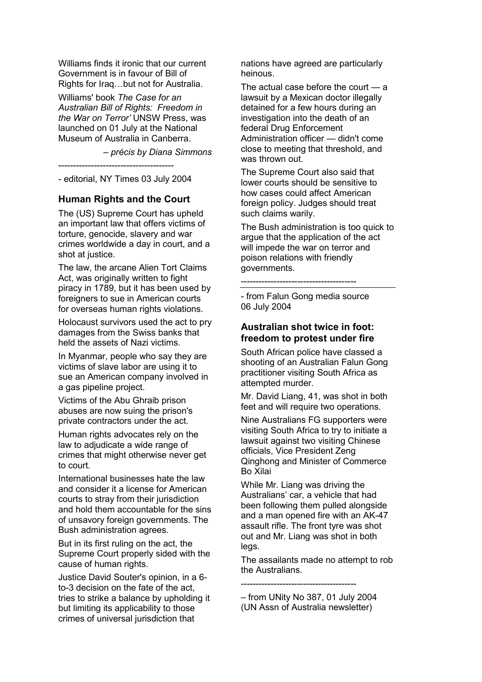Williams finds it ironic that our current Government is in favour of Bill of Rights for Iraq…but not for Australia.

Williams' book *The Case for an Australian Bill of Rights: Freedom in the War on Terror'* UNSW Press, was launched on 01 July at the National Museum of Australia in Canberra.

*– précis by Diana Simmons*

---------------------------------------

<span id="page-1-0"></span>- editorial, NY Times 03 July 2004

## **Human Rights and the Court**

The (US) Supreme Court has upheld an important law that offers victims of torture, genocide, slavery and war crimes worldwide a day in court, and a shot at justice.

The law, the arcane Alien Tort Claims Act, was originally written to fight piracy in 1789, but it has been used by foreigners to sue in American courts for overseas human rights violations.

Holocaust survivors used the act to pry damages from the Swiss banks that held the assets of Nazi victims.

In Myanmar, people who say they are victims of slave labor are using it to sue an American company involved in a gas pipeline project.

Victims of the Abu Ghraib prison abuses are now suing the prison's private contractors under the act.

Human rights advocates rely on the law to adjudicate a wide range of crimes that might otherwise never get to court.

International businesses hate the law and consider it a license for American courts to stray from their jurisdiction and hold them accountable for the sins of unsavory foreign governments. The Bush administration agrees.

But in its first ruling on the act, the Supreme Court properly sided with the cause of human rights.

Justice David Souter's opinion, in a 6 to-3 decision on the fate of the act, tries to strike a balance by upholding it but limiting its applicability to those crimes of universal jurisdiction that

nations have agreed are particularly heinous.

The actual case before the court  $-$  a lawsuit by a Mexican doctor illegally detained for a few hours during an investigation into the death of an federal Drug Enforcement Administration officer — didn't come close to meeting that threshold, and was thrown out.

The Supreme Court also said that lower courts should be sensitive to how cases could affect American foreign policy. Judges should treat such claims warily.

The Bush administration is too quick to argue that the application of the act will impede the war on terror and poison relations with friendly governments.

---------------------------------------

- from Falun Gong media source 06 July 2004

## <span id="page-1-1"></span>**Australian shot twice in foot: freedom to protest under fire**

South African police have classed a shooting of an Australian Falun Gong practitioner visiting South Africa as attempted murder.

Mr. David Liang, 41, was shot in both feet and will require two operations.

Nine Australians FG supporters were visiting South Africa to try to initiate a lawsuit against two visiting Chinese officials, Vice President Zeng Qinghong and Minister of Commerce Bo Xilai

While Mr. Liang was driving the Australians' car, a vehicle that had been following them pulled alongside and a man opened fire with an AK-47 assault rifle. The front tyre was shot out and Mr. Liang was shot in both legs.

The assailants made no attempt to rob the Australians.

---------------------------------------

– from UNity No 387, 01 July 2004 (UN Assn of Australia newsletter)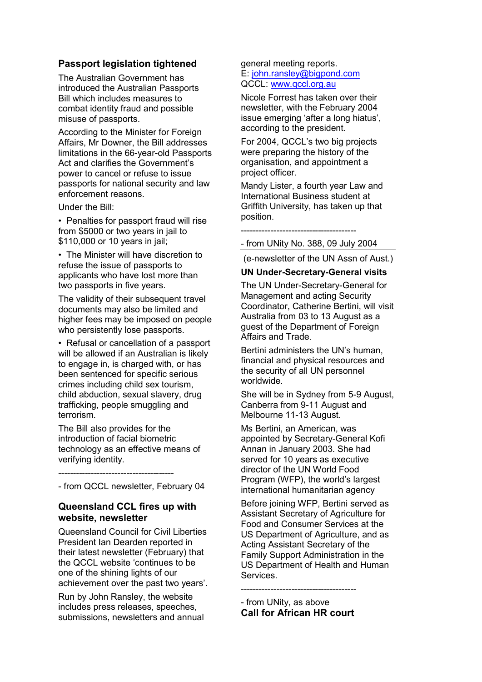## **Passport legislation tightened**

<span id="page-2-0"></span>The Australian Government has introduced the Australian Passports Bill which includes measures to combat identity fraud and possible misuse of passports.

According to the Minister for Foreign Affairs, Mr Downer, the Bill addresses limitations in the 66-year-old Passports Act and clarifies the Government's power to cancel or refuse to issue passports for national security and law enforcement reasons.

Under the Bill:

• Penalties for passport fraud will rise from \$5000 or two years in jail to \$110,000 or 10 years in jail;

• The Minister will have discretion to refuse the issue of passports to applicants who have lost more than two passports in five years.

The validity of their subsequent travel documents may also be limited and higher fees may be imposed on people who persistently lose passports.

• Refusal or cancellation of a passport will be allowed if an Australian is likely to engage in, is charged with, or has been sentenced for specific serious crimes including child sex tourism, child abduction, sexual slavery, drug trafficking, people smuggling and terrorism.

The Bill also provides for the introduction of facial biometric technology as an effective means of verifying identity.

---------------------------------------

<span id="page-2-1"></span>- from QCCL newsletter, February 04

## **Queensland CCL fires up with website, newsletter**

Queensland Council for Civil Liberties President Ian Dearden reported in their latest newsletter (February) that the QCCL website 'continues to be one of the shining lights of our achievement over the past two years'.

Run by John Ransley, the website includes press releases, speeches, submissions, newsletters and annual

#### general meeting reports. E: [john.ransley@bigpond.com](mailto:john.ransley@bigpond.com) QCCL: [www.qccl.org.au](http://www.qccl.org.au/)

Nicole Forrest has taken over their newsletter, with the February 2004 issue emerging 'after a long hiatus', according to the president.

For 2004, QCCL's two big projects were preparing the history of the organisation, and appointment a project officer.

Mandy Lister, a fourth year Law and International Business student at Griffith University, has taken up that position.

---------------------------------------

- from UNity No. 388, 09 July 2004

(e-newsletter of the UN Assn of Aust.)

#### **UN Under-Secretary-General visits**

The UN Under-Secretary-General for Management and acting Security Coordinator, Catherine Bertini, will visit Australia from 03 to 13 August as a guest of the Department of Foreign Affairs and Trade.

Bertini administers the UN's human, financial and physical resources and the security of all UN personnel worldwide.

She will be in Sydney from 5-9 August, Canberra from 9-11 August and Melbourne 11-13 August.

Ms Bertini, an American, was appointed by Secretary-General Kofi Annan in January 2003. She had served for 10 years as executive director of the UN World Food Program (WFP), the world's largest international humanitarian agency

Before joining WFP, Bertini served as Assistant Secretary of Agriculture for Food and Consumer Services at the US Department of Agriculture, and as Acting Assistant Secretary of the Family Support Administration in the US Department of Health and Human Services.

- from UNity, as above **Call for African HR court**

---------------------------------------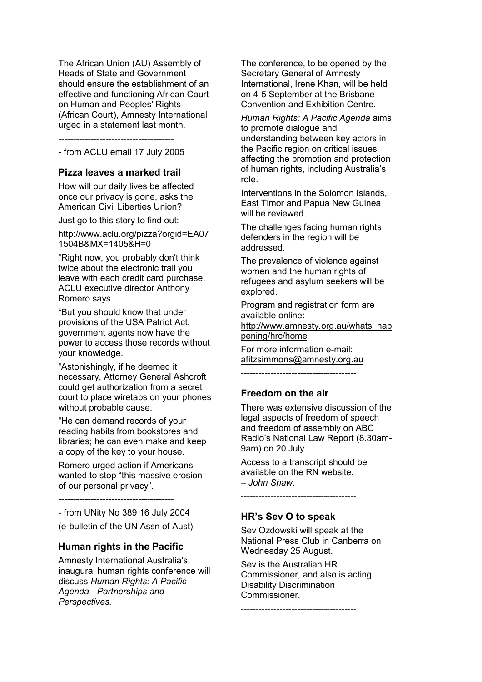The African Union (AU) Assembly of Heads of State and Government should ensure the establishment of an effective and functioning African Court on Human and Peoples' Rights (African Court), Amnesty International urged in a statement last month.

---------------------------------------

<span id="page-3-0"></span>- from ACLU email 17 July 2005

## **Pizza leaves a marked trail**

How will our daily lives be affected once our privacy is gone, asks the American Civil Liberties Union?

Just go to this story to find out:

http://www.aclu.org/pizza?orgid=EA07 1504B&MX=1405&H=0

"Right now, you probably don't think twice about the electronic trail you leave with each credit card purchase, ACLU executive director Anthony Romero says.

"But you should know that under provisions of the USA Patriot Act, government agents now have the power to access those records without your knowledge.

"Astonishingly, if he deemed it necessary, Attorney General Ashcroft could get authorization from a secret court to place wiretaps on your phones without probable cause.

"He can demand records of your reading habits from bookstores and libraries; he can even make and keep a copy of the key to your house.

Romero urged action if Americans wanted to stop "this massive erosion of our personal privacy".

---------------------------------------

- from UNity No 389 16 July 2004

<span id="page-3-1"></span>(e-bulletin of the UN Assn of Aust)

#### **Human rights in the Pacific**

Amnesty International Australia's inaugural human rights conference will discuss *Human Rights: A Pacific Agenda - Partnerships and Perspectives.*

The conference, to be opened by the Secretary General of Amnesty International, Irene Khan, will be held on 4-5 September at the Brisbane Convention and Exhibition Centre.

*Human Rights: A Pacific Agenda* aims to promote dialogue and understanding between key actors in the Pacific region on critical issues affecting the promotion and protection of human rights, including Australia's role.

Interventions in the Solomon Islands, East Timor and Papua New Guinea will be reviewed.

The challenges facing human rights defenders in the region will be addressed.

The prevalence of violence against women and the human rights of refugees and asylum seekers will be explored.

Program and registration form are available online: [http://www.amnesty.org.au/whats\\_hap](http://www.amnesty.org.au/?mysource_users_extension=bmail&action=bulkmail_link&bulkmailid=70&link=http://www.amnesty.org.au/whats_happening/hrc/home) [pening/hrc/home](http://www.amnesty.org.au/?mysource_users_extension=bmail&action=bulkmail_link&bulkmailid=70&link=http://www.amnesty.org.au/whats_happening/hrc/home)

For more information e-mail: [afitzsimmons@amnesty.org.au](mailto:afitzsimmons@amnesty.org.au)

<span id="page-3-2"></span>---------------------------------------

## **Freedom on the air**

There was extensive discussion of the legal aspects of freedom of speech and freedom of assembly on ABC Radio's National Law Report (8.30am-9am) on 20 July.

Access to a transcript should be available on the RN website. *– John Shaw.*

---------------------------------------

#### <span id="page-3-3"></span>**HR's Sev O to speak**

Sev Ozdowski will speak at the National Press Club in Canberra on Wednesday 25 August.

Sev is the Australian HR Commissioner, and also is acting Disability Discrimination Commissioner.

---------------------------------------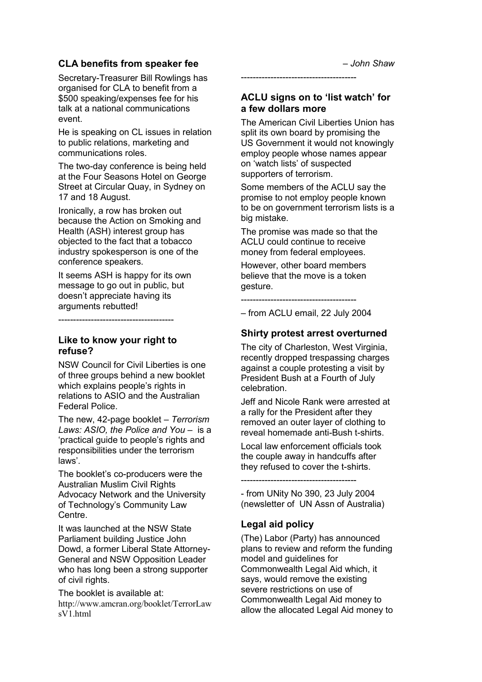# **CLA benefits from speaker fee**

<span id="page-4-0"></span>Secretary-Treasurer Bill Rowlings has organised for CLA to benefit from a \$500 speaking/expenses fee for his talk at a national communications event.

He is speaking on CL issues in relation to public relations, marketing and communications roles.

The two-day conference is being held at the Four Seasons Hotel on George Street at Circular Quay, in Sydney on 17 and 18 August.

Ironically, a row has broken out because the Action on Smoking and Health (ASH) interest group has objected to the fact that a tobacco industry spokesperson is one of the conference speakers.

It seems ASH is happy for its own message to go out in public, but doesn't appreciate having its arguments rebutted!

<span id="page-4-1"></span>--------------------------------------- **Like to know your right to** 

# **refuse?**

NSW Council for Civil Liberties is one of three groups behind a new booklet which explains people's rights in relations to ASIO and the Australian Federal Police.

The new, 42-page booklet – *Terrorism Laws: ASIO, the Police and You* – is a ‗practical guide to people's rights and responsibilities under the terrorism laws'.

The booklet's co-producers were the Australian Muslim Civil Rights Advocacy Network and the University of Technology's Community Law Centre.

It was launched at the NSW State Parliament building Justice John Dowd, a former Liberal State Attorney-General and NSW Opposition Leader who has long been a strong supporter of civil rights.

The booklet is available at: [http://www.amcran.org/booklet/TerrorLaw](http://www.amcran.org/booklet/TerrorLawsV1.html) [sV1.html](http://www.amcran.org/booklet/TerrorLawsV1.html)

## **ACLU signs on to 'list watch' for a few dollars more**

<span id="page-4-2"></span>---------------------------------------

The American Civil Liberties Union has split its own board by promising the US Government it would not knowingly employ people whose names appear on ‗watch lists' of suspected supporters of terrorism.

Some members of the ACLU say the promise to not employ people known to be on government terrorism lists is a big mistake.

The promise was made so that the ACLU could continue to receive money from federal employees.

However, other board members believe that the move is a token gesture.

---------------------------------------

<span id="page-4-3"></span>– from ACLU email, 22 July 2004

# **Shirty protest arrest overturned**

The city of Charleston, West Virginia, recently dropped trespassing charges against a couple protesting a visit by President Bush at a Fourth of July celebration.

Jeff and Nicole Rank were arrested at a rally for the President after they removed an outer layer of clothing to reveal homemade anti-Bush t-shirts.

Local law enforcement officials took the couple away in handcuffs after they refused to cover the t-shirts.

---------------------------------------

- from UNity No 390, 23 July 2004 (newsletter of UN Assn of Australia)

# <span id="page-4-4"></span>**Legal aid policy**

(The) Labor (Party) has announced plans to review and reform the funding model and guidelines for Commonwealth Legal Aid which, it says, would remove the existing severe restrictions on use of Commonwealth Legal Aid money to allow the allocated Legal Aid money to